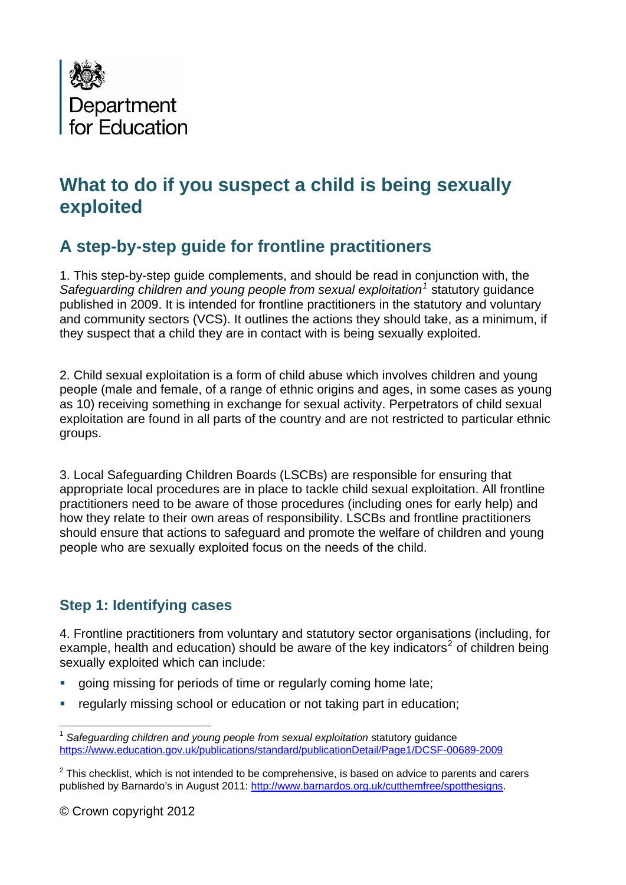

# **What to do if you suspect a child is being sexually exploited**

# **A step-by-step guide for frontline practitioners**

1. This step-by-step guide complements, and should be read in conjunction with, the Safeguarding children and young people from sexual exploitation<sup>[1](#page-0-0)</sup> statutory guidance published in 2009. It is intended for frontline practitioners in the statutory and voluntary and community sectors (VCS). It outlines the actions they should take, as a minimum, if they suspect that a child they are in contact with is being sexually exploited.

2. Child sexual exploitation is a form of child abuse which involves children and young people (male and female, of a range of ethnic origins and ages, in some cases as young as 10) receiving something in exchange for sexual activity. Perpetrators of child sexual exploitation are found in all parts of the country and are not restricted to particular ethnic groups.

3. Local Safeguarding Children Boards (LSCBs) are responsible for ensuring that appropriate local procedures are in place to tackle child sexual exploitation. All frontline practitioners need to be aware of those procedures (including ones for early help) and how they relate to their own areas of responsibility. LSCBs and frontline practitioners should ensure that actions to safeguard and promote the welfare of children and young people who are sexually exploited focus on the needs of the child.

### **Step 1: Identifying cases**

4. Frontline practitioners from voluntary and statutory sector organisations (including, for example, health and education) should be aware of the key indicators<sup>[2](#page-0-1)</sup> of children being sexually exploited which can include:

- going missing for periods of time or regularly coming home late;
- **F** regularly missing school or education or not taking part in education;

<span id="page-0-0"></span> $\overline{a}$ <sup>1</sup> *Safeguarding children and young people from sexual exploitation* statutory guidance <https://www.education.gov.uk/publications/standard/publicationDetail/Page1/DCSF-00689-2009>

<span id="page-0-1"></span> $2$  This checklist, which is not intended to be comprehensive, is based on advice to parents and carers published by Barnardo's in August 2011: [http://www.barnardos.org.uk/cutthemfree/spotthesigns.](http://www.barnardos.org.uk/cutthemfree/spotthesigns)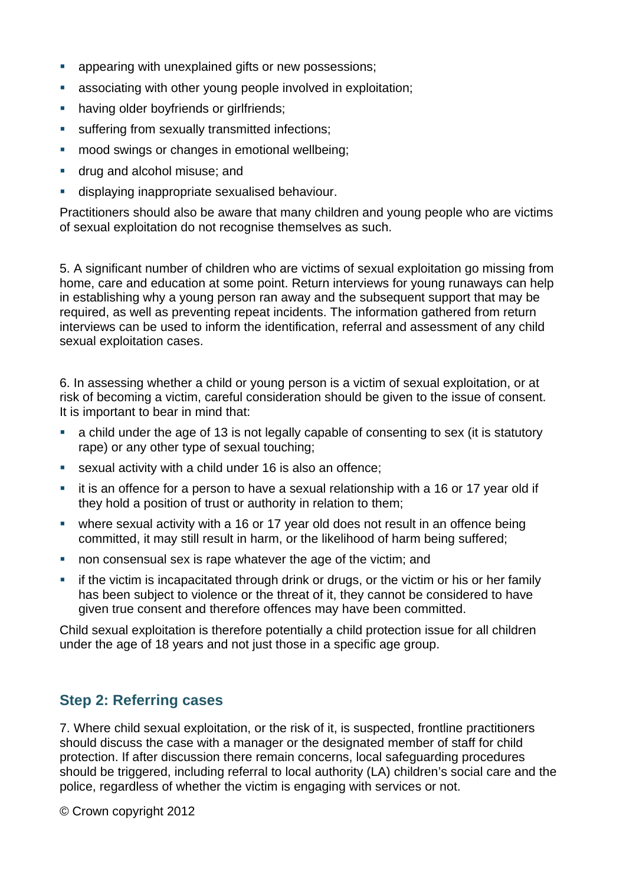- **a** appearing with unexplained gifts or new possessions:
- associating with other young people involved in exploitation;
- **•** having older boyfriends or girlfriends;
- **suffering from sexually transmitted infections;**
- **nood swings or changes in emotional wellbeing;**
- **drug and alcohol misuse: and**
- displaying inappropriate sexualised behaviour.

Practitioners should also be aware that many children and young people who are victims of sexual exploitation do not recognise themselves as such.

5. A significant number of children who are victims of sexual exploitation go missing from home, care and education at some point. Return interviews for young runaways can help in establishing why a young person ran away and the subsequent support that may be required, as well as preventing repeat incidents. The information gathered from return interviews can be used to inform the identification, referral and assessment of any child sexual exploitation cases.

6. In assessing whether a child or young person is a victim of sexual exploitation, or at risk of becoming a victim, careful consideration should be given to the issue of consent. It is important to bear in mind that:

- a child under the age of 13 is not legally capable of consenting to sex (it is statutory rape) or any other type of sexual touching;
- sexual activity with a child under 16 is also an offence;
- **i** it is an offence for a person to have a sexual relationship with a 16 or 17 year old if they hold a position of trust or authority in relation to them;
- where sexual activity with a 16 or 17 year old does not result in an offence being committed, it may still result in harm, or the likelihood of harm being suffered;
- non consensual sex is rape whatever the age of the victim; and
- **F** if the victim is incapacitated through drink or drugs, or the victim or his or her family has been subject to violence or the threat of it, they cannot be considered to have given true consent and therefore offences may have been committed.

Child sexual exploitation is therefore potentially a child protection issue for all children under the age of 18 years and not just those in a specific age group.

# **Step 2: Referring cases**

7. Where child sexual exploitation, or the risk of it, is suspected, frontline practitioners should discuss the case with a manager or the designated member of staff for child protection. If after discussion there remain concerns, local safeguarding procedures should be triggered, including referral to local authority (LA) children's social care and the police, regardless of whether the victim is engaging with services or not.

© Crown copyright 2012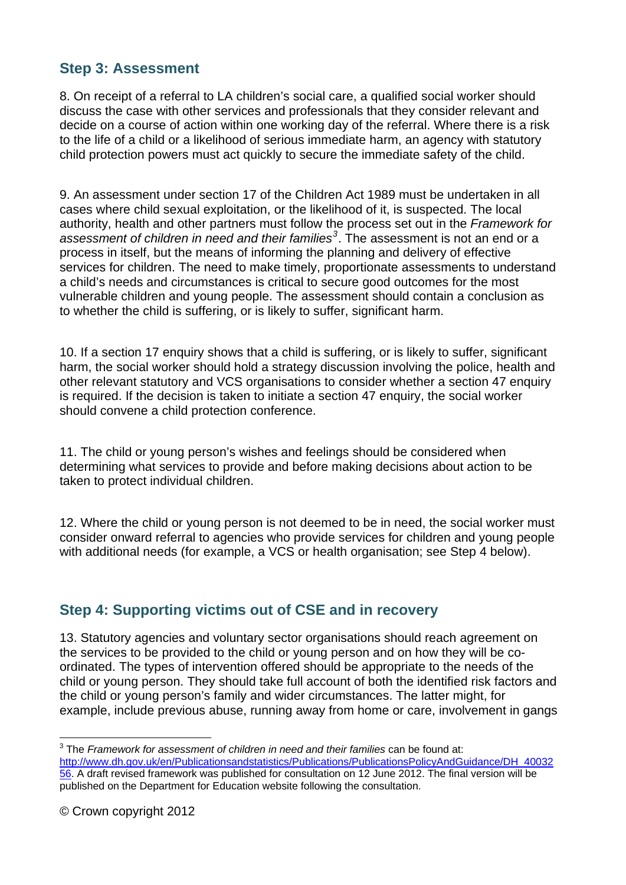# **Step 3: Assessment**

8. On receipt of a referral to LA children's social care, a qualified social worker should discuss the case with other services and professionals that they consider relevant and decide on a course of action within one working day of the referral. Where there is a risk to the life of a child or a likelihood of serious immediate harm, an agency with statutory child protection powers must act quickly to secure the immediate safety of the child.

9. An assessment under section 17 of the Children Act 1989 must be undertaken in all cases where child sexual exploitation, or the likelihood of it, is suspected. The local authority, health and other partners must follow the process set out in the *Framework for assessment of children in need and their families[3](#page-2-0)* . The assessment is not an end or a process in itself, but the means of informing the planning and delivery of effective services for children. The need to make timely, proportionate assessments to understand a child's needs and circumstances is critical to secure good outcomes for the most vulnerable children and young people. The assessment should contain a conclusion as to whether the child is suffering, or is likely to suffer, significant harm.

10. If a section 17 enquiry shows that a child is suffering, or is likely to suffer, significant harm, the social worker should hold a strategy discussion involving the police, health and other relevant statutory and VCS organisations to consider whether a section 47 enquiry is required. If the decision is taken to initiate a section 47 enquiry, the social worker should convene a child protection conference.

11. The child or young person's wishes and feelings should be considered when determining what services to provide and before making decisions about action to be taken to protect individual children.

12. Where the child or young person is not deemed to be in need, the social worker must consider onward referral to agencies who provide services for children and young people with additional needs (for example, a VCS or health organisation; see Step 4 below).

### **Step 4: Supporting victims out of CSE and in recovery**

13. Statutory agencies and voluntary sector organisations should reach agreement on the services to be provided to the child or young person and on how they will be coordinated. The types of intervention offered should be appropriate to the needs of the child or young person. They should take full account of both the identified risk factors and the child or young person's family and wider circumstances. The latter might, for example, include previous abuse, running away from home or care, involvement in gangs

<span id="page-2-0"></span> 3 The *Framework for assessment of children in need and their families* can be found at: [http://www.dh.gov.uk/en/Publicationsandstatistics/Publications/PublicationsPolicyAndGuidance/DH\\_40032](http://www.dh.gov.uk/en/Publicationsandstatistics/Publications/PublicationsPolicyAndGuidance/DH_4003256) [56.](http://www.dh.gov.uk/en/Publicationsandstatistics/Publications/PublicationsPolicyAndGuidance/DH_4003256) A draft revised framework was published for consultation on 12 June 2012. The final version will be published on the Department for Education website following the consultation.